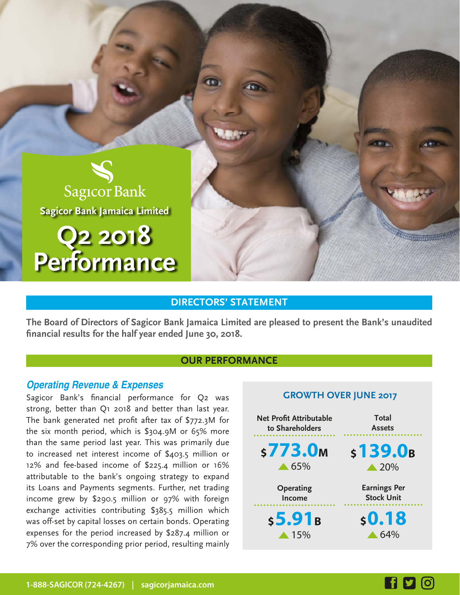

## **DIRECTORS' STATEMENT**

**The Board of Directors of Sagicor Bank Jamaica Limited are pleased to present the Bank's unaudited financial results for the half year ended June 30, 2018.**

### **OUR PERFORMANCE**

### **Operating Revenue & Expenses**

Sagicor Bank's financial performance for Q2 was strong, better than Q1 2018 and better than last year. The bank generated net profit after tax of \$772.3M for the six month period, which is \$304.9M or 65% more than the same period last year. This was primarily due to increased net interest income of \$403.5 million or 12% and fee-based income of \$225.4 million or 16% attributable to the bank's ongoing strategy to expand its Loans and Payments segments. Further, net trading income grew by \$290.5 million or 97% with foreign exchange activities contributing \$385.5 million which was off-set by capital losses on certain bonds. Operating expenses for the period increased by \$287.4 million or 7% over the corresponding prior period, resulting mainly

### **GROWTH OVER JUNE 2017**

**Thirty County** 

| <b>Net Profit Attributable</b> | Total               |
|--------------------------------|---------------------|
| to Shareholders                | <b>Assets</b>       |
| \$773.0 <sub>M</sub>           | s139.0B             |
| $\triangle$ 65%                | $\triangle 20\%$    |
| Operating                      | <b>Earnings Per</b> |
| Income                         | <b>Stock Unit</b>   |
| s5.91B                         | \$0.18              |
| $\triangle$ 15%                | $\triangle 64\%$    |

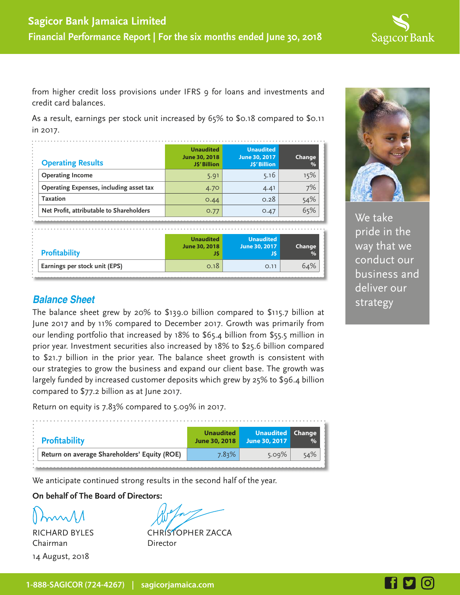

from higher credit loss provisions under IFRS 9 for loans and investments and credit card balances.

As a result, earnings per stock unit increased by 65% to \$0.18 compared to \$0.11 in 2017.

| <b>Operating Results</b>                 | <b>Unaudited</b><br>June 30, 2018<br><b>JS' Billion</b> | <b>Unaudited</b><br>June 30, 2017<br><b>JS' Billion</b> | Change<br>$\%$ |
|------------------------------------------|---------------------------------------------------------|---------------------------------------------------------|----------------|
| <b>Operating Income</b>                  | 5.91                                                    | 5.16                                                    | 15%            |
| Operating Expenses, including asset tax  | 4.70                                                    | 4.41                                                    | 7%             |
| Taxation                                 | 0.44                                                    | 0.28                                                    | 54%            |
| Net Profit, attributable to Shareholders | 0.77                                                    | 0.47                                                    | 65%            |

| <b>Profitability</b>          | <b>Unaudited</b> | <b>Unaudited</b> | Change        |
|-------------------------------|------------------|------------------|---------------|
|                               | June 30, 2018    | June 30, 2017    | $\frac{1}{2}$ |
| Earnings per stock unit (EPS) | 0.18             | O.11             | 64%           |



We take pride in the way that we conduct our business and deliver our

# **Balance Sheet** strategy

The balance sheet grew by 20% to \$139.0 billion compared to \$115.7 billion at June 2017 and by 11% compared to December 2017. Growth was primarily from our lending portfolio that increased by 18% to \$65.4 billion from \$55.5 million in prior year. Investment securities also increased by 18% to \$25.6 billion compared to \$21.7 billion in the prior year. The balance sheet growth is consistent with our strategies to grow the business and expand our client base. The growth was largely funded by increased customer deposits which grew by 25% to \$96.4 billion compared to \$77.2 billion as at June 2017.

Return on equity is 7.83% compared to 5.09% in 2017.

| : Profitability |                                              | <b>Unaudited</b><br>June 30, 2018 | <b>Unaudited Change</b><br>June 30, 2017 | $\%$ |
|-----------------|----------------------------------------------|-----------------------------------|------------------------------------------|------|
|                 | Return on average Shareholders' Equity (ROE) | $7.83\%$                          | 5.09%                                    | 54%  |
|                 |                                              |                                   |                                          |      |

We anticipate continued strong results in the second half of the year.

**On behalf of The Board of Directors:**

Chairman Director 14 August, 2018

RICHARD BYLES CHRISTOPHER ZACCA

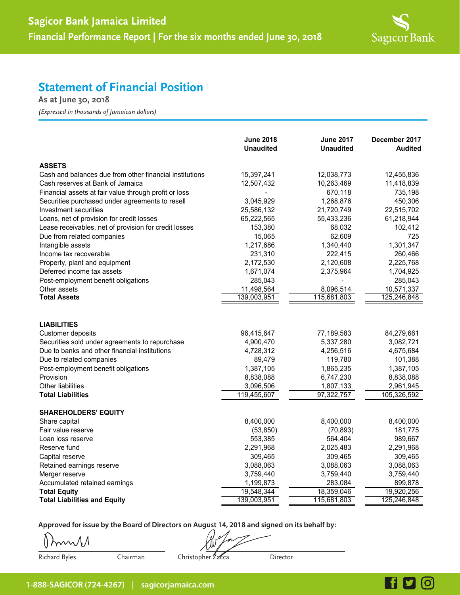

# **Statement of Financial Position**

**As at June 30, 2018**

*(Expressed in thousands of Jamaican dollars)*

|                                                         | <b>June 2018</b><br><b>Unaudited</b> | <b>June 2017</b><br><b>Unaudited</b> | December 2017<br><b>Audited</b> |
|---------------------------------------------------------|--------------------------------------|--------------------------------------|---------------------------------|
| <b>ASSETS</b>                                           |                                      |                                      |                                 |
| Cash and balances due from other financial institutions | 15,397,241                           | 12,038,773                           | 12,455,836                      |
| Cash reserves at Bank of Jamaica                        | 12,507,432                           | 10,263,469                           | 11,418,839                      |
| Financial assets at fair value through profit or loss   |                                      | 670,118                              | 735,198                         |
| Securities purchased under agreements to resell         | 3,045,929                            | 1,268,876                            | 450,306                         |
| Investment securities                                   | 25,586,132                           | 21,720,749                           | 22,515,702                      |
| Loans, net of provision for credit losses               | 65,222,565                           | 55,433,236                           | 61,218,944                      |
| Lease receivables, net of provision for credit losses   | 153,380                              | 68,032                               | 102,412                         |
| Due from related companies                              | 15,065                               | 62,609                               | 725                             |
| Intangible assets                                       | 1,217,686                            | 1,340,440                            | 1,301,347                       |
| Income tax recoverable                                  | 231,310                              | 222,415                              | 260,466                         |
| Property, plant and equipment                           | 2,172,530                            | 2,120,608                            | 2,225,768                       |
| Deferred income tax assets                              | 1,671,074                            | 2,375,964                            | 1,704,925                       |
| Post-employment benefit obligations                     | 285,043                              |                                      | 285,043                         |
| Other assets                                            | 11,498,564                           | 8,096,514                            | 10,571,337                      |
| <b>Total Assets</b>                                     | 139,003,951                          | 115,681,803                          | 125,246,848                     |
| <b>LIABILITIES</b>                                      |                                      |                                      |                                 |
| Customer deposits                                       | 96,415,647                           | 77,189,583                           | 84,279,661                      |
| Securities sold under agreements to repurchase          | 4,900,470                            | 5,337,280                            | 3,082,721                       |
| Due to banks and other financial institutions           | 4,728,312                            | 4,256,516                            | 4,675,684                       |
| Due to related companies                                | 89,479                               | 119,780                              | 101,388                         |
| Post-employment benefit obligations                     | 1,387,105                            | 1,865,235                            | 1,387,105                       |
| Provision                                               | 8,838,088                            | 6,747,230                            | 8,838,088                       |
| <b>Other liabilities</b>                                | 3,096,506                            | 1,807,133                            | 2,961,945                       |
| <b>Total Liabilities</b>                                | 119,455,607                          | 97,322,757                           | 105,326,592                     |
| <b>SHAREHOLDERS' EQUITY</b>                             |                                      |                                      |                                 |
| Share capital                                           | 8,400,000                            | 8,400,000                            | 8,400,000                       |
| Fair value reserve                                      | (53, 850)                            | (70, 893)                            | 181,775                         |
| Loan loss reserve                                       | 553,385                              | 564,404                              | 989,667                         |
| Reserve fund                                            | 2,291,968                            | 2,025,483                            | 2,291,968                       |
| Capital reserve                                         | 309,465                              | 309,465                              | 309,465                         |
| Retained earnings reserve                               | 3,088,063                            | 3,088,063                            | 3,088,063                       |
| Merger reserve                                          | 3,759,440                            | 3,759,440                            | 3,759,440                       |
| Accumulated retained earnings                           | 1,199,873                            | 283,084                              | 899,878                         |
| <b>Total Equity</b>                                     | 19,548,344                           | 18,359,046                           | 19,920,256                      |
| <b>Total Liabilities and Equity</b>                     | 139,003,951                          | 115,681,803                          | 125,246,848                     |

**Approved for issue by the Board of Directors on August 14, 2018 and signed on its behalf by:**

murs

Richard Byles Chairman Christopher Zacca Director

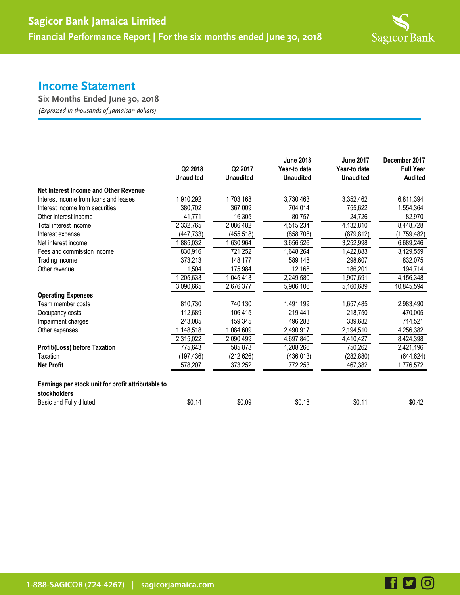

## **Income Statement**

**Six Months Ended June 30, 2018**

*(Expressed in thousands of Jamaican dollars)*

|                                                                    | Q2 2018<br><b>Unaudited</b> | Q2 2017<br><b>Unaudited</b> | <b>June 2018</b><br>Year-to date<br><b>Unaudited</b> | <b>June 2017</b><br>Year-to date<br><b>Unaudited</b> | December 2017<br><b>Full Year</b><br><b>Audited</b> |
|--------------------------------------------------------------------|-----------------------------|-----------------------------|------------------------------------------------------|------------------------------------------------------|-----------------------------------------------------|
| Net Interest Income and Other Revenue                              |                             |                             |                                                      |                                                      |                                                     |
| Interest income from loans and leases                              | 1.910.292                   | 1,703,168                   | 3,730,463                                            | 3,352,462                                            | 6,811,394                                           |
| Interest income from securities                                    | 380,702                     | 367,009                     | 704,014                                              | 755,622                                              | 1,554,364                                           |
| Other interest income                                              | 41,771                      | 16,305                      | 80,757                                               | 24,726                                               | 82,970                                              |
| Total interest income                                              | 2,332,765                   | 2,086,482                   | 4,515,234                                            | 4,132,810                                            | 8,448,728                                           |
| Interest expense                                                   | (447, 733)                  | (455, 518)                  | (858, 708)                                           | (879, 812)                                           | (1,759,482)                                         |
| Net interest income                                                | ,885,032                    | 1,630,964                   | 3,656,526                                            | 3,252,998                                            | 6,689,246                                           |
| Fees and commission income                                         | 830,916                     | 721,252                     | 1,648,264                                            | 1,422,883                                            | 3,129,559                                           |
| Trading income                                                     | 373,213                     | 148,177                     | 589,148                                              | 298,607                                              | 832,075                                             |
| Other revenue                                                      | 1.504                       | 175,984                     | 12,168                                               | 186,201                                              | 194,714                                             |
|                                                                    | 1,205,633                   | 1,045,413                   | 2,249,580                                            | 1,907,691                                            | 4,156,348                                           |
|                                                                    | 3,090,665                   | 2,676,377                   | 5,906,106                                            | 5,160,689                                            | 10,845,594                                          |
| <b>Operating Expenses</b>                                          |                             |                             |                                                      |                                                      |                                                     |
| Team member costs                                                  | 810,730                     | 740,130                     | 1,491,199                                            | 1,657,485                                            | 2,983,490                                           |
| Occupancy costs                                                    | 112,689                     | 106,415                     | 219,441                                              | 218,750                                              | 470,005                                             |
| Impairment charges                                                 | 243.085                     | 159,345                     | 496,283                                              | 339.682                                              | 714,521                                             |
| Other expenses                                                     | 1,148,518                   | 1,084,609                   | 2,490,917                                            | 2,194,510                                            | 4,256,382                                           |
|                                                                    | 2,315,022                   | 2,090,499                   | 4,697,840                                            | 4,410,427                                            | 8,424,398                                           |
| Profit/(Loss) before Taxation                                      | 775,643                     | 585.878                     | 1,208,266                                            | 750,262                                              | 2,421,196                                           |
| Taxation                                                           | (197,436)                   | (212, 626)                  | (436,013)                                            | (282, 880)                                           | (644, 624)                                          |
| <b>Net Profit</b>                                                  | 578,207                     | 373,252                     | 772,253                                              | 467,382                                              | 1,776,572                                           |
| Earnings per stock unit for profit attributable to<br>stockholders |                             |                             |                                                      |                                                      |                                                     |
| Basic and Fully diluted                                            | \$0.14                      | \$0.09                      | \$0.18                                               | \$0.11                                               | \$0.42                                              |

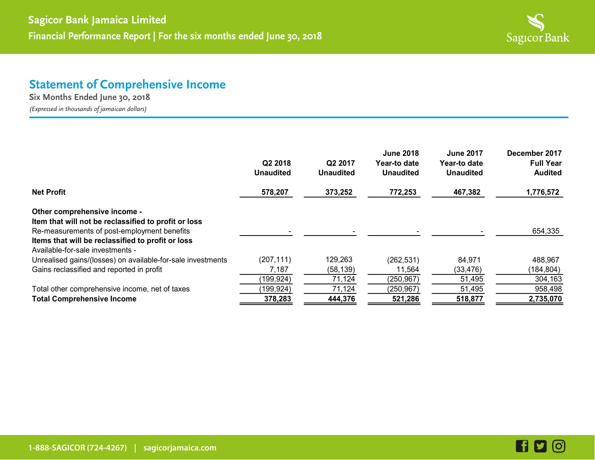

## **Statement of Comprehensive Income**

**Six Months Ended June 30, 2018** *(Expressed in thousands of jamaican dollars)*

**June 2018 June 2017 December 2017 Q2 2018 Q2 2017 Year-to date Year-to date Full Year Unaudited Unaudited Unaudited Unaudited Audited Net Profit 578,207 373,252 772,253 467,382 1,776,572 Other comprehensive income - Item that will not be reclassified to profit or loss** Re-measurements of post-employment benefits and the state of the state of the state of the state of the state of the state of the state of the state of the state of the state of the state of the state of the state of the s **Items that will be reclassified to profit or loss** Available-for-sale investments - Unrealised gains/(losses) on available-for-sale investments (207,111) 129,263 (262,531) 84,971 488,967 Gains reclassified and reported in profit  $7,187$  (58,139)  $11,564$  (33,476) (184,804) (199,924) 71,124 (250,967) 51,495 304,163

Total other comprehensive income, net of taxes (199,924) 71,124 (250,967) 51,495 958,498 **Total Comprehensive Income 378,283 444,376 521,286 518,877 2,735,070** 

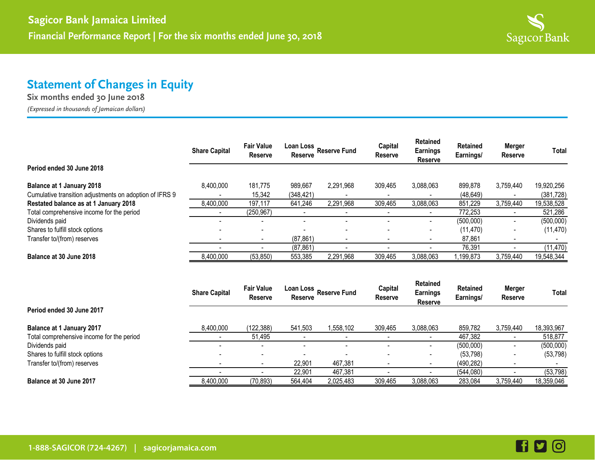

# **Statement of Changes in Equity**

**Six months ended 30 June 2018**

*(Expressed in thousands of Jamaican dollars)*

|                                                                                             | <b>Share Capital</b> | <b>Fair Value</b><br><b>Reserve</b> | Loan Loss<br><b>Reserve</b> | <b>Reserve Fund</b>      | Capital<br><b>Reserve</b> | <b>Retained</b><br><b>Earnings</b><br><b>Reserve</b> | <b>Retained</b><br>Earnings/ | Merger<br><b>Reserve</b> | Total                    |
|---------------------------------------------------------------------------------------------|----------------------|-------------------------------------|-----------------------------|--------------------------|---------------------------|------------------------------------------------------|------------------------------|--------------------------|--------------------------|
| Period ended 30 June 2018                                                                   |                      |                                     |                             |                          |                           |                                                      |                              |                          |                          |
| <b>Balance at 1 January 2018</b><br>Cumulative transition adjustments on adoption of IFRS 9 | 8,400,000            | 181,775<br>15,342                   | 989.667<br>(348,421)        | 2,291,968                | 309.465                   | 3,088,063                                            | 899,878<br>(48, 649)         | 3.759.440                | 19,920,256<br>(381, 728) |
| Restated balance as at 1 January 2018                                                       | 8,400,000            | 197,117                             | 641.246                     | 2,291,968                | 309.465                   | 3,088,063                                            | 851,229                      | 3,759,440                | 19,538,528               |
| Total comprehensive income for the period                                                   |                      | (250, 967)                          |                             |                          |                           |                                                      | 772,253                      | $\sim$                   | 521,286                  |
| Dividends paid                                                                              |                      | $\overline{\phantom{a}}$            |                             |                          |                           |                                                      | (500,000)                    | $\sim$                   | (500,000)                |
| Shares to fulfill stock options                                                             |                      | $\overline{\phantom{0}}$            |                             |                          |                           |                                                      | (11, 470)                    | $\overline{\phantom{a}}$ | (11, 470)                |
| Transfer to/(from) reserves                                                                 |                      | ۰                                   | (87, 861)                   | $\overline{\phantom{0}}$ |                           |                                                      | 87,861                       |                          |                          |
|                                                                                             |                      |                                     | (87, 861)                   |                          |                           |                                                      | 76.391                       |                          | (11, 470)                |
| Balance at 30 June 2018                                                                     | 8,400,000            | (53, 850)                           | 553,385                     | 2,291,968                | 309,465                   | 3,088,063                                            | ,199,873                     | 3,759,440                | 19,548,344               |

|                                           | <b>Share Capital</b> | <b>Fair Value</b><br><b>Reserve</b> | Loan Loss<br><b>Reserve</b> | <b>Reserve Fund</b>      | Capital<br><b>Reserve</b> | <b>Retained</b><br><b>Earnings</b><br><b>Reserve</b> | <b>Retained</b><br>Earnings/ | <b>Merger</b><br><b>Reserve</b> | Total      |
|-------------------------------------------|----------------------|-------------------------------------|-----------------------------|--------------------------|---------------------------|------------------------------------------------------|------------------------------|---------------------------------|------------|
| Period ended 30 June 2017                 |                      |                                     |                             |                          |                           |                                                      |                              |                                 |            |
| Balance at 1 January 2017                 | 8,400,000            | (122.388)                           | 541.503                     | 1,558,102                | 309.465                   | 3,088,063                                            | 859.782                      | 3,759,440                       | 18,393,967 |
| Total comprehensive income for the period |                      | 51,495                              |                             | $\overline{\phantom{0}}$ |                           |                                                      | 467,382                      |                                 | 518,877    |
| Dividends paid                            |                      |                                     |                             |                          |                           |                                                      | (500,000)                    | $\overline{\phantom{0}}$        | (500,000)  |
| Shares to fulfill stock options           |                      | $\overline{\phantom{a}}$            |                             | $\overline{\phantom{0}}$ | -                         | $\overline{\phantom{a}}$                             | (53, 798)                    | $\overline{\phantom{0}}$        | (53, 798)  |
| Transfer to/(from) reserves               |                      |                                     | 22,901                      | 467,381                  |                           |                                                      | (490, 282)                   |                                 |            |
|                                           |                      |                                     | 22,901                      | 467.381                  |                           |                                                      | (544,080)                    |                                 | (53, 798)  |
| Balance at 30 June 2017                   | 8,400,000            | (70, 893)                           | 564,404                     | 2,025,483                | 309.465                   | 3,088,063                                            | 283,084                      | 3,759,440                       | 18,359,046 |

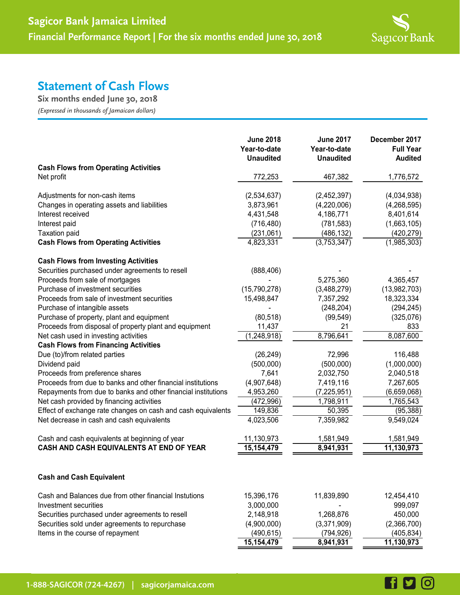

**600** 

# **Statement of Cash Flows**

**Six months ended June 30, 2018**

*(Expressed in thousands of Jamaican dollars)*

|                                                               | <b>June 2018</b><br>Year-to-date<br><b>Unaudited</b> | <b>June 2017</b><br>Year-to-date<br><b>Unaudited</b> | December 2017<br><b>Full Year</b><br><b>Audited</b> |
|---------------------------------------------------------------|------------------------------------------------------|------------------------------------------------------|-----------------------------------------------------|
| <b>Cash Flows from Operating Activities</b>                   |                                                      |                                                      |                                                     |
| Net profit                                                    | 772,253                                              | 467,382                                              | 1,776,572                                           |
| Adjustments for non-cash items                                | (2,534,637)                                          | (2,452,397)                                          | (4,034,938)                                         |
| Changes in operating assets and liabilities                   | 3,873,961                                            | (4,220,006)                                          | (4, 268, 595)                                       |
| Interest received                                             | 4,431,548                                            | 4,186,771                                            | 8,401,614                                           |
| Interest paid                                                 | (716, 480)                                           | (781, 583)                                           | (1,663,105)                                         |
| <b>Taxation paid</b>                                          | (231,061)                                            | (486, 132)                                           | (420, 279)                                          |
| <b>Cash Flows from Operating Activities</b>                   | 4,823,331                                            | (3,753,347)                                          | (1,985,303)                                         |
| <b>Cash Flows from Investing Activities</b>                   |                                                      |                                                      |                                                     |
| Securities purchased under agreements to resell               | (888, 406)                                           |                                                      |                                                     |
| Proceeds from sale of mortgages                               |                                                      | 5,275,360                                            | 4,365,457                                           |
| Purchase of investment securities                             | (15,790,278)                                         | (3,488,279)                                          | (13,982,703)                                        |
| Proceeds from sale of investment securities                   | 15,498,847                                           | 7,357,292                                            | 18,323,334                                          |
| Purchase of intangible assets                                 |                                                      | (248, 204)                                           | (294, 245)                                          |
| Purchase of property, plant and equipment                     | (80, 518)                                            | (99, 549)                                            | (325,076)                                           |
| Proceeds from disposal of property plant and equipment        | 11,437                                               | 21                                                   | 833                                                 |
| Net cash used in investing activities                         | (1, 248, 918)                                        | 8,796,641                                            | 8,087,600                                           |
| <b>Cash Flows from Financing Activities</b>                   |                                                      |                                                      |                                                     |
| Due (to)/from related parties                                 | (26, 249)                                            | 72,996                                               | 116,488                                             |
| Dividend paid                                                 | (500,000)                                            | (500,000)                                            | (1,000,000)                                         |
| Proceeds from preference shares                               | 7,641                                                | 2,032,750                                            | 2,040,518                                           |
| Proceeds from due to banks and other financial institutions   | (4,907,648)                                          | 7,419,116                                            | 7,267,605                                           |
| Repayments from due to banks and other financial institutions | 4,953,260                                            | (7, 225, 951)                                        | (6,659,068)                                         |
| Net cash provided by financing activities                     | (472, 996)                                           | 1,798,911                                            | 1,765,543                                           |
| Effect of exchange rate changes on cash and cash equivalents  | 149,836                                              | 50,395                                               | (95, 388)                                           |
| Net decrease in cash and cash equivalents                     | 4,023,506                                            | 7,359,982                                            | 9,549,024                                           |
| Cash and cash equivalents at beginning of year                | 11,130,973                                           | 1,581,949                                            | 1,581,949                                           |
| CASH AND CASH EQUIVALENTS AT END OF YEAR                      | 15, 154, 479                                         | 8,941,931                                            | 11,130,973                                          |
| <b>Cash and Cash Equivalent</b>                               |                                                      |                                                      |                                                     |
| Cash and Balances due from other financial Instutions         | 15,396,176                                           | 11,839,890                                           | 12,454,410                                          |
| Investment securities                                         | 3,000,000                                            |                                                      | 999,097                                             |
| Securities purchased under agreements to resell               | 2,148,918                                            | 1,268,876                                            | 450,000                                             |
| Securities sold under agreements to repurchase                | (4,900,000)                                          | (3,371,909)                                          | (2,366,700)                                         |
| Items in the course of repayment                              | (490, 615)                                           | (794, 926)                                           | (405, 834)                                          |
|                                                               | 15, 154, 479                                         | 8,941,931                                            | 11,130,973                                          |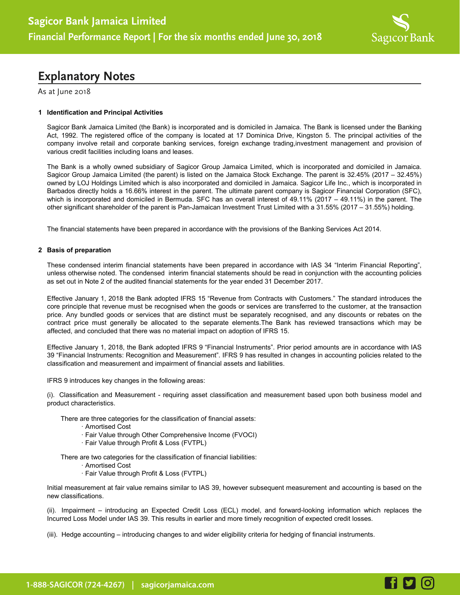

**HD 6** 

## **Explanatory Notes**

As at June 2018

### **1 Identification and Principal Activities**

Sagicor Bank Jamaica Limited (the Bank) is incorporated and is domiciled in Jamaica. The Bank is licensed under the Banking Act, 1992. The registered office of the company is located at 17 Dominica Drive, Kingston 5. The principal activities of the company involve retail and corporate banking services, foreign exchange trading,investment management and provision of various credit facilities including loans and leases.

The Bank is a wholly owned subsidiary of Sagicor Group Jamaica Limited, which is incorporated and domiciled in Jamaica. Sagicor Group Jamaica Limited (the parent) is listed on the Jamaica Stock Exchange. The parent is 32.45% (2017 – 32.45%) owned by LOJ Holdings Limited which is also incorporated and domiciled in Jamaica. Sagicor Life Inc., which is incorporated in Barbados directly holds a 16.66% interest in the parent. The ultimate parent company is Sagicor Financial Corporation (SFC), which is incorporated and domiciled in Bermuda. SFC has an overall interest of 49.11% (2017 – 49.11%) in the parent. The other significant shareholder of the parent is Pan-Jamaican Investment Trust Limited with a 31.55% (2017 – 31.55%) holding.

The financial statements have been prepared in accordance with the provisions of the Banking Services Act 2014.

### **2 Basis of preparation**

These condensed interim financial statements have been prepared in accordance with IAS 34 "Interim Financial Reporting", unless otherwise noted. The condensed interim financial statements should be read in conjunction with the accounting policies as set out in Note 2 of the audited financial statements for the year ended 31 December 2017.

Effective January 1, 2018 the Bank adopted IFRS 15 "Revenue from Contracts with Customers." The standard introduces the core principle that revenue must be recognised when the goods or services are transferred to the customer, at the transaction price. Any bundled goods or services that are distinct must be separately recognised, and any discounts or rebates on the contract price must generally be allocated to the separate elements.The Bank has reviewed transactions which may be affected, and concluded that there was no material impact on adoption of IFRS 15.

Effective January 1, 2018, the Bank adopted IFRS 9 "Financial Instruments". Prior period amounts are in accordance with IAS 39 "Financial Instruments: Recognition and Measurement". IFRS 9 has resulted in changes in accounting policies related to the classification and measurement and impairment of financial assets and liabilities.

IFRS 9 introduces key changes in the following areas:

(i). Classification and Measurement - requiring asset classification and measurement based upon both business model and product characteristics.

There are three categories for the classification of financial assets:

- · Amortised Cost
- · Fair Value through Other Comprehensive Income (FVOCI)
- · Fair Value through Profit & Loss (FVTPL)

There are two categories for the classification of financial liabilities:

- · Amortised Cost
- · Fair Value through Profit & Loss (FVTPL)

Initial measurement at fair value remains similar to IAS 39, however subsequent measurement and accounting is based on the new classifications.

(ii). Impairment – introducing an Expected Credit Loss (ECL) model, and forward-looking information which replaces the Incurred Loss Model under IAS 39. This results in earlier and more timely recognition of expected credit losses.

(iii). Hedge accounting – introducing changes to and wider eligibility criteria for hedging of financial instruments.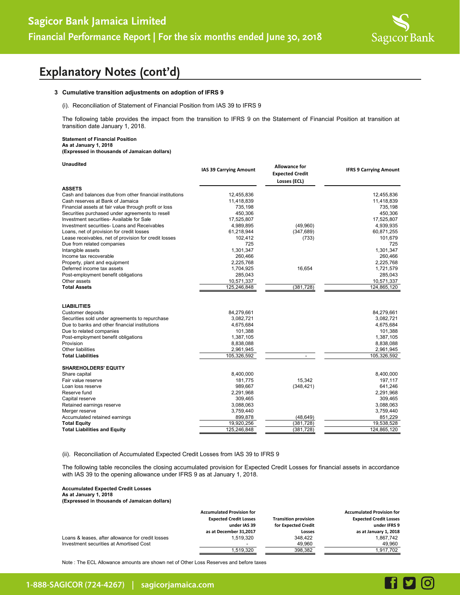

# **Explanatory Notes (cont'd)**

#### **3 Cumulative transition adjustments on adoption of IFRS 9**

(i). Reconciliation of Statement of Financial Position from IAS 39 to IFRS 9

The following table provides the impact from the transition to IFRS 9 on the Statement of Financial Position at transition at transition date January 1, 2018.

#### **Statement of Financial Position As at January 1, 2018 (Expressed in thousands of Jamaican dollars)**

| <b>Unaudited</b>                                        | IAS 39 Carrying Amount | <b>Allowance for</b><br><b>Expected Credit</b><br>Losses (ECL) | <b>IFRS 9 Carrying Amount</b> |
|---------------------------------------------------------|------------------------|----------------------------------------------------------------|-------------------------------|
| <b>ASSETS</b>                                           |                        |                                                                |                               |
| Cash and balances due from other financial institutions | 12,455,836             |                                                                | 12,455,836                    |
| Cash reserves at Bank of Jamaica                        | 11,418,839             |                                                                | 11,418,839                    |
| Financial assets at fair value through profit or loss   | 735,198                |                                                                | 735,198                       |
| Securities purchased under agreements to resell         | 450,306                |                                                                | 450,306                       |
| Investment securities- Available for Sale               | 17,525,807             |                                                                | 17,525,807                    |
| Investment securities- Loans and Receivables            | 4,989,895              | (49,960)                                                       | 4,939,935                     |
| Loans, net of provision for credit losses               | 61,218,944             | (347, 689)                                                     | 60,871,255                    |
| Lease receivables, net of provision for credit losses   | 102,412                | (733)                                                          | 101,679                       |
| Due from related companies                              | 725                    |                                                                | 725                           |
| Intangible assets                                       | 1,301,347              |                                                                | 1,301,347                     |
| Income tax recoverable                                  | 260,466                |                                                                | 260,466                       |
| Property, plant and equipment                           | 2,225,768              |                                                                | 2,225,768                     |
| Deferred income tax assets                              | 1,704,925              | 16,654                                                         | 1,721,579                     |
| Post-employment benefit obligations                     | 285,043                |                                                                | 285,043                       |
| Other assets                                            | 10,571,337             |                                                                | 10,571,337                    |
| <b>Total Assets</b>                                     | 125,246,848            | (381, 728)                                                     | 124,865,120                   |
| <b>LIABILITIES</b>                                      |                        |                                                                |                               |
| Customer deposits                                       | 84,279,661             |                                                                | 84,279,661                    |
| Securities sold under agreements to repurchase          | 3,082,721              |                                                                | 3,082,721                     |
| Due to banks and other financial institutions           | 4,675,684              |                                                                | 4,675,684                     |
| Due to related companies                                | 101,388                |                                                                | 101,388                       |
| Post-employment benefit obligations                     | 1,387,105              |                                                                | 1,387,105                     |
| Provision                                               | 8,838,088              |                                                                | 8,838,088                     |
| <b>Other liabilities</b>                                | 2,961,945              |                                                                | 2,961,945                     |
| <b>Total Liabilities</b>                                | 105,326,592            |                                                                | 105,326,592                   |
| <b>SHAREHOLDERS' EQUITY</b>                             |                        |                                                                |                               |
| Share capital                                           | 8,400,000              |                                                                | 8,400,000                     |
| Fair value reserve                                      | 181,775                | 15,342                                                         | 197,117                       |
| Loan loss reserve                                       | 989,667                | (348, 421)                                                     | 641,246                       |
| Reserve fund                                            | 2,291,968              |                                                                | 2,291,968                     |
| Capital reserve                                         | 309,465                |                                                                | 309,465                       |
| Retained earnings reserve                               | 3,088,063              |                                                                | 3,088,063                     |
| Merger reserve                                          | 3,759,440              |                                                                | 3,759,440                     |
| Accumulated retained earnings                           | 899,878                | (48, 649)                                                      | 851,229                       |
| <b>Total Equity</b>                                     | 19,920,256             | (381, 728)                                                     | 19,538,528                    |
| <b>Total Liabilities and Equity</b>                     | 125,246,848            | (381, 728)                                                     | 124,865,120                   |

(ii). Reconciliation of Accumulated Expected Credit Losses from IAS 39 to IFRS 9

The following table reconciles the closing accumulated provision for Expected Credit Losses for financial assets in accordance with IAS 39 to the opening allowance under IFRS 9 as at January 1, 2018.

### **Accumulated Expected Credit Losses As at January 1, 2018**

**(Expressed in thousands of Jamaican dollars)**

|                                                   | <b>Accumulated Provision for</b> |                             | <b>Accumulated Provision for</b> |
|---------------------------------------------------|----------------------------------|-----------------------------|----------------------------------|
|                                                   | <b>Expected Credit Losses</b>    | <b>Transition provision</b> | <b>Expected Credit Losses</b>    |
|                                                   | under IAS 39                     | for Expected Credit         | under IFRS 9                     |
|                                                   | as at December 31,2017           | Losses                      | as at January 1, 2018            |
| Loans & leases, after allowance for credit losses | 1.519.320                        | 348.422                     | 1.867.742                        |
| Investment securities at Amortised Cost           | -                                | 49,960                      | 49.960                           |
|                                                   | 1.519.320                        | 398.382                     | 1.917.702                        |

Note : The ECL Allowance amounts are shown net of Other Loss Reserves and before taxes